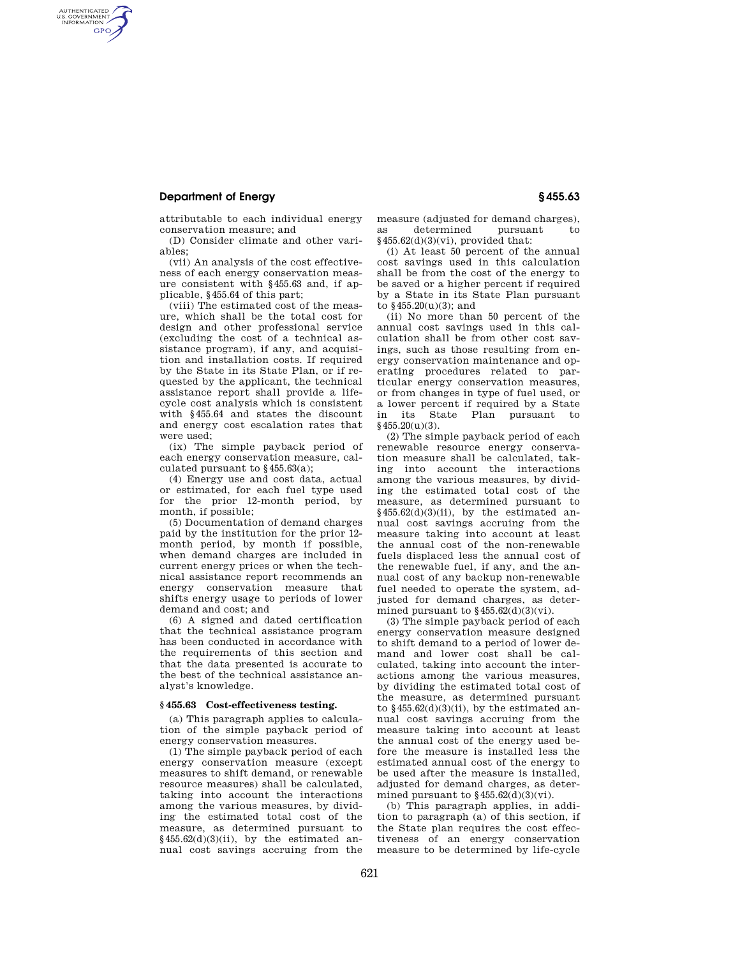# **Department of Energy § 455.63**

AUTHENTICATED<br>U.S. GOVERNMENT<br>INFORMATION **GPO** 

> attributable to each individual energy conservation measure; and

> (D) Consider climate and other variables;

> (vii) An analysis of the cost effectiveness of each energy conservation measure consistent with §455.63 and, if applicable, §455.64 of this part;

(viii) The estimated cost of the measure, which shall be the total cost for design and other professional service (excluding the cost of a technical assistance program), if any, and acquisition and installation costs. If required by the State in its State Plan, or if requested by the applicant, the technical assistance report shall provide a lifecycle cost analysis which is consistent with §455.64 and states the discount and energy cost escalation rates that were used;

(ix) The simple payback period of each energy conservation measure, calculated pursuant to §455.63(a);

(4) Energy use and cost data, actual or estimated, for each fuel type used for the prior 12-month period, by month, if possible;

(5) Documentation of demand charges paid by the institution for the prior 12 month period, by month if possible, when demand charges are included in current energy prices or when the technical assistance report recommends an energy conservation measure that shifts energy usage to periods of lower demand and cost; and

(6) A signed and dated certification that the technical assistance program has been conducted in accordance with the requirements of this section and that the data presented is accurate to the best of the technical assistance analyst's knowledge.

## **§ 455.63 Cost-effectiveness testing.**

(a) This paragraph applies to calculation of the simple payback period of energy conservation measures.

(1) The simple payback period of each energy conservation measure (except measures to shift demand, or renewable resource measures) shall be calculated, taking into account the interactions among the various measures, by dividing the estimated total cost of the measure, as determined pursuant to  $§455.62(d)(3)(ii)$ , by the estimated annual cost savings accruing from the

measure (adjusted for demand charges), as determined pursuant §455.62(d)(3)(vi), provided that:

(i) At least 50 percent of the annual cost savings used in this calculation shall be from the cost of the energy to be saved or a higher percent if required by a State in its State Plan pursuant to §455.20(u)(3); and

(ii) No more than 50 percent of the annual cost savings used in this calculation shall be from other cost savings, such as those resulting from energy conservation maintenance and operating procedures related to particular energy conservation measures, or from changes in type of fuel used, or a lower percent if required by a State in its State Plan pursuant to  $§455.20(u)(3).$ 

(2) The simple payback period of each renewable resource energy conservation measure shall be calculated, taking into account the interactions among the various measures, by dividing the estimated total cost of the measure, as determined pursuant to  $§455.62(d)(3)(ii)$ , by the estimated annual cost savings accruing from the measure taking into account at least the annual cost of the non-renewable fuels displaced less the annual cost of the renewable fuel, if any, and the annual cost of any backup non-renewable fuel needed to operate the system, adjusted for demand charges, as determined pursuant to  $$455.62(d)(3)(vi)$ .

(3) The simple payback period of each energy conservation measure designed to shift demand to a period of lower demand and lower cost shall be calculated, taking into account the interactions among the various measures, by dividing the estimated total cost of the measure, as determined pursuant to  $$455.62(d)(3)(ii)$ , by the estimated annual cost savings accruing from the measure taking into account at least the annual cost of the energy used before the measure is installed less the estimated annual cost of the energy to be used after the measure is installed, adjusted for demand charges, as determined pursuant to  $$455.62(d)(3)(vi)$ .

(b) This paragraph applies, in addition to paragraph (a) of this section, if the State plan requires the cost effectiveness of an energy conservation measure to be determined by life-cycle